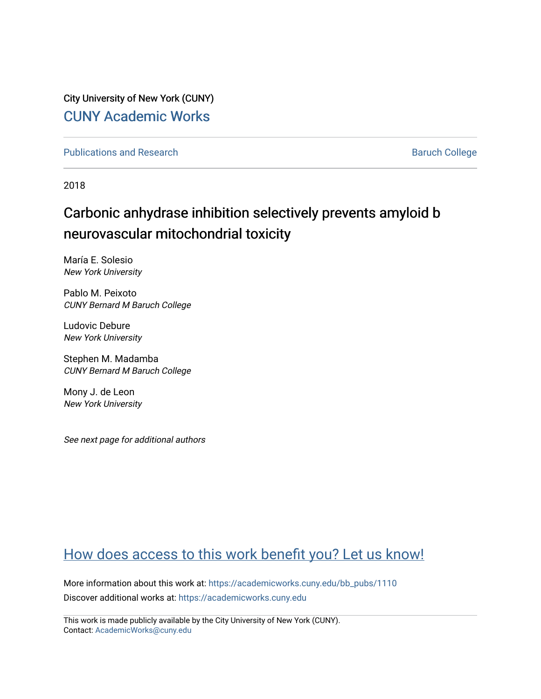City University of New York (CUNY) [CUNY Academic Works](https://academicworks.cuny.edu/) 

[Publications and Research](https://academicworks.cuny.edu/bb_pubs) **Baruch College** Baruch College

2018

# Carbonic anhydrase inhibition selectively prevents amyloid b neurovascular mitochondrial toxicity

María E. Solesio New York University

Pablo M. Peixoto CUNY Bernard M Baruch College

Ludovic Debure New York University

Stephen M. Madamba CUNY Bernard M Baruch College

Mony J. de Leon New York University

See next page for additional authors

# [How does access to this work benefit you? Let us know!](http://ols.cuny.edu/academicworks/?ref=https://academicworks.cuny.edu/bb_pubs/1110)

More information about this work at: [https://academicworks.cuny.edu/bb\\_pubs/1110](https://academicworks.cuny.edu/bb_pubs/1110) Discover additional works at: [https://academicworks.cuny.edu](https://academicworks.cuny.edu/?)

This work is made publicly available by the City University of New York (CUNY). Contact: [AcademicWorks@cuny.edu](mailto:AcademicWorks@cuny.edu)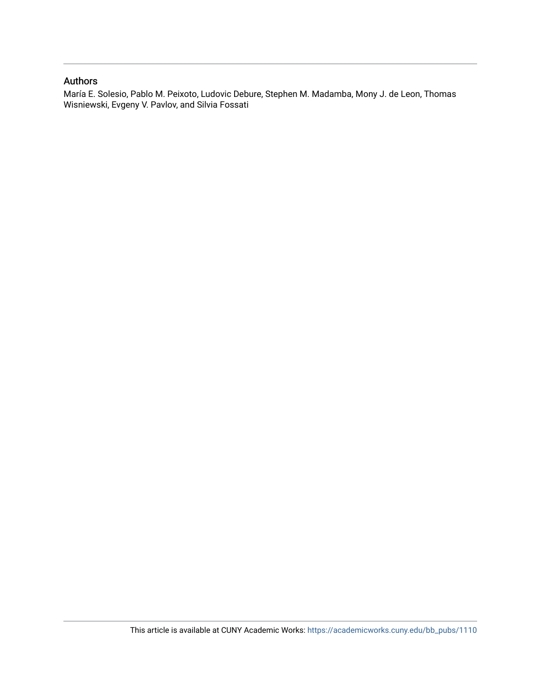# Authors

María E. Solesio, Pablo M. Peixoto, Ludovic Debure, Stephen M. Madamba, Mony J. de Leon, Thomas Wisniewski, Evgeny V. Pavlov, and Silvia Fossati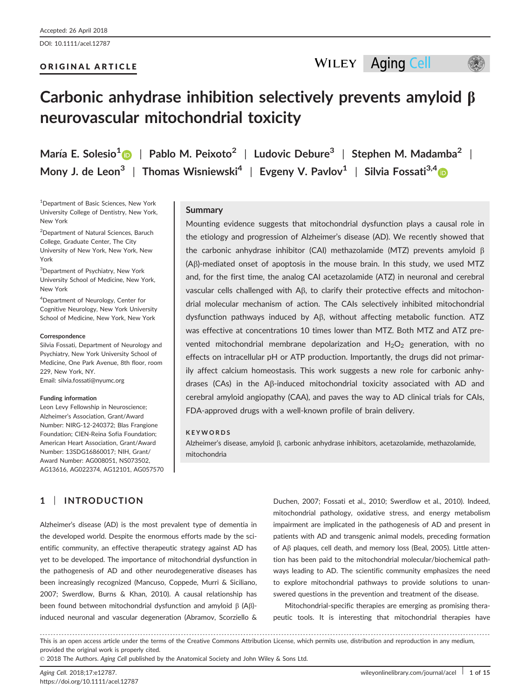DOI: 10.1111/acel.12787

## ORIGINAL ARTICLE



# Carbonic anhydrase inhibition selectively prevents amyloid  $\beta$ neurovascular mitochondrial toxicity

María E. Solesio<sup>1</sup> | Pablo M. Peixoto<sup>2</sup> | Ludovic Debure<sup>3</sup> | Stephen M. Madamba<sup>2</sup> | Mony J. de Leon<sup>3</sup> | Thomas Wisniewski<sup>[4](http://orcid.org/0000-0002-2047-222X)</sup> | Evgeny V. Pavlov<sup>1</sup> | Silvia Fossati<sup>3,4</sup>

1 Department of Basic Sciences, New York University College of Dentistry, New York, New York

2 Department of Natural Sciences, Baruch College, Graduate Center, The City University of New York, New York, New York

3 Department of Psychiatry, New York University School of Medicine, New York, New York

4 Department of Neurology, Center for Cognitive Neurology, New York University School of Medicine, New York, New York

#### **Correspondence**

Silvia Fossati, Department of Neurology and Psychiatry, New York University School of Medicine, One Park Avenue, 8th floor, room 229, New York, NY. Email: silvia.fossati@nyumc.org

#### Funding information

Leon Levy Fellowship in Neuroscience; Alzheimer's Association, Grant/Award Number: NIRG-12-240372; Blas Frangione Foundation; CIEN-Reina Sofia Foundation; American Heart Association, Grant/Award Number: 13SDG16860017; NIH, Grant/ Award Number: AG008051, NS073502, AG13616, AG022374, AG12101, AG057570

## **Summary**

Mounting evidence suggests that mitochondrial dysfunction plays a causal role in the etiology and progression of Alzheimer's disease (AD). We recently showed that the carbonic anhydrase inhibitor (CAI) methazolamide (MTZ) prevents amyloid  $\beta$ (Ab)-mediated onset of apoptosis in the mouse brain. In this study, we used MTZ and, for the first time, the analog CAI acetazolamide (ATZ) in neuronal and cerebral vascular cells challenged with  $\Delta\beta$ , to clarify their protective effects and mitochondrial molecular mechanism of action. The CAIs selectively inhibited mitochondrial dysfunction pathways induced by A<sub>B</sub>, without affecting metabolic function. ATZ was effective at concentrations 10 times lower than MTZ. Both MTZ and ATZ prevented mitochondrial membrane depolarization and  $H_2O_2$  generation, with no effects on intracellular pH or ATP production. Importantly, the drugs did not primarily affect calcium homeostasis. This work suggests a new role for carbonic anhydrases (CAs) in the A $\beta$ -induced mitochondrial toxicity associated with AD and cerebral amyloid angiopathy (CAA), and paves the way to AD clinical trials for CAIs, FDA-approved drugs with a well-known profile of brain delivery.

#### **KEYWORDS**

Alzheimer's disease, amyloid  $\beta$ , carbonic anhydrase inhibitors, acetazolamide, methazolamide, mitochondria

# 1 | INTRODUCTION

Alzheimer's disease (AD) is the most prevalent type of dementia in the developed world. Despite the enormous efforts made by the scientific community, an effective therapeutic strategy against AD has yet to be developed. The importance of mitochondrial dysfunction in the pathogenesis of AD and other neurodegenerative diseases has been increasingly recognized (Mancuso, Coppede, Murri & Siciliano, 2007; Swerdlow, Burns & Khan, 2010). A causal relationship has been found between mitochondrial dysfunction and amyloid  $\beta$  (A $\beta$ )induced neuronal and vascular degeneration (Abramov, Scorziello &

Duchen, 2007; Fossati et al., 2010; Swerdlow et al., 2010). Indeed, mitochondrial pathology, oxidative stress, and energy metabolism impairment are implicated in the pathogenesis of AD and present in patients with AD and transgenic animal models, preceding formation of Ab plaques, cell death, and memory loss (Beal, 2005). Little attention has been paid to the mitochondrial molecular/biochemical pathways leading to AD. The scientific community emphasizes the need to explore mitochondrial pathways to provide solutions to unanswered questions in the prevention and treatment of the disease.

Mitochondrial-specific therapies are emerging as promising therapeutic tools. It is interesting that mitochondrial therapies have

------------------------------------------------------------------------------------------------------------------------------- --------------------------------------- This is an open access article under the terms of the [Creative Commons Attribution](http://creativecommons.org/licenses/by/4.0/) License, which permits use, distribution and reproduction in any medium, provided the original work is properly cited.

© 2018 The Authors. Aging Cell published by the Anatomical Society and John Wiley & Sons Ltd.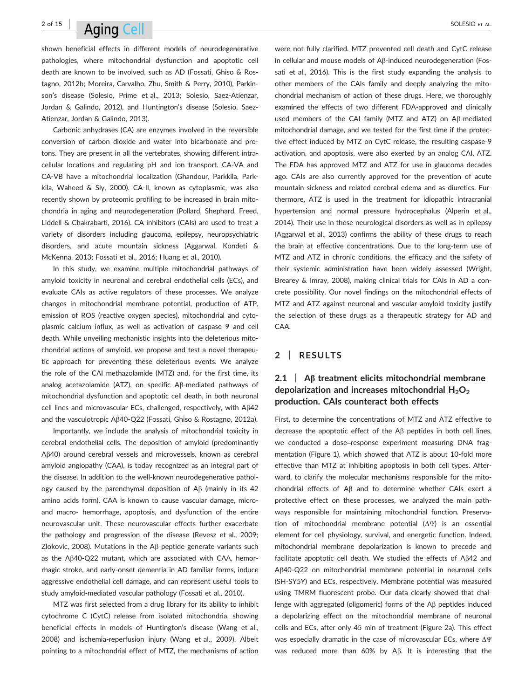# $^{2 \text{ of } 15}$  Aging Coll  $^{2 \text{ of } 15}$

shown beneficial effects in different models of neurodegenerative pathologies, where mitochondrial dysfunction and apoptotic cell death are known to be involved, such as AD (Fossati, Ghiso & Rostagno, 2012b; Moreira, Carvalho, Zhu, Smith & Perry, 2010), Parkinson's disease (Solesio, Prime et al., 2013; Solesio, Saez-Atienzar, Jordan & Galindo, 2012), and Huntington's disease (Solesio, Saez-Atienzar, Jordan & Galindo, 2013).

Carbonic anhydrases (CA) are enzymes involved in the reversible conversion of carbon dioxide and water into bicarbonate and protons. They are present in all the vertebrates, showing different intracellular locations and regulating pH and ion transport. CA-VA and CA-VB have a mitochondrial localization (Ghandour, Parkkila, Parkkila, Waheed & Sly, 2000). CA-II, known as cytoplasmic, was also recently shown by proteomic profiling to be increased in brain mitochondria in aging and neurodegeneration (Pollard, Shephard, Freed, Liddell & Chakrabarti, 2016). CA inhibitors (CAIs) are used to treat a variety of disorders including glaucoma, epilepsy, neuropsychiatric disorders, and acute mountain sickness (Aggarwal, Kondeti & McKenna, 2013; Fossati et al., 2016; Huang et al., 2010).

In this study, we examine multiple mitochondrial pathways of amyloid toxicity in neuronal and cerebral endothelial cells (ECs), and evaluate CAIs as active regulators of these processes. We analyze changes in mitochondrial membrane potential, production of ATP, emission of ROS (reactive oxygen species), mitochondrial and cytoplasmic calcium influx, as well as activation of caspase 9 and cell death. While unveiling mechanistic insights into the deleterious mitochondrial actions of amyloid, we propose and test a novel therapeutic approach for preventing these deleterious events. We analyze the role of the CAI methazolamide (MTZ) and, for the first time, its analog acetazolamide (ATZ), on specific  $A\beta$ -mediated pathways of mitochondrial dysfunction and apoptotic cell death, in both neuronal cell lines and microvascular ECs, challenged, respectively, with  $A\beta42$ and the vasculotropic Ab40-Q22 (Fossati, Ghiso & Rostagno, 2012a).

Importantly, we include the analysis of mitochondrial toxicity in cerebral endothelial cells. The deposition of amyloid (predominantly AB40) around cerebral vessels and microvessels, known as cerebral amyloid angiopathy (CAA), is today recognized as an integral part of the disease. In addition to the well-known neurodegenerative pathology caused by the parenchymal deposition of  $\mathsf{A}\beta$  (mainly in its 42 amino acids form), CAA is known to cause vascular damage, microand macro- hemorrhage, apoptosis, and dysfunction of the entire neurovascular unit. These neurovascular effects further exacerbate the pathology and progression of the disease (Revesz et al., 2009; Zlokovic, 2008). Mutations in the  $\mathsf{A}\beta$  peptide generate variants such as the Ab40-Q22 mutant, which are associated with CAA, hemorrhagic stroke, and early-onset dementia in AD familiar forms, induce aggressive endothelial cell damage, and can represent useful tools to study amyloid-mediated vascular pathology (Fossati et al., 2010).

MTZ was first selected from a drug library for its ability to inhibit cytochrome C (CytC) release from isolated mitochondria, showing beneficial effects in models of Huntington's disease (Wang et al., 2008) and ischemia-reperfusion injury (Wang et al., 2009). Albeit pointing to a mitochondrial effect of MTZ, the mechanisms of action were not fully clarified. MTZ prevented cell death and CytC release in cellular and mouse models of Ab-induced neurodegeneration (Fossati et al., 2016). This is the first study expanding the analysis to other members of the CAIs family and deeply analyzing the mitochondrial mechanism of action of these drugs. Here, we thoroughly examined the effects of two different FDA-approved and clinically used members of the CAI family (MTZ and ATZ) on Aß-mediated mitochondrial damage, and we tested for the first time if the protective effect induced by MTZ on CytC release, the resulting caspase-9 activation, and apoptosis, were also exerted by an analog CAI, ATZ. The FDA has approved MTZ and ATZ for use in glaucoma decades ago. CAIs are also currently approved for the prevention of acute mountain sickness and related cerebral edema and as diuretics. Furthermore, ATZ is used in the treatment for idiopathic intracranial hypertension and normal pressure hydrocephalus (Alperin et al., 2014). Their use in these neurological disorders as well as in epilepsy (Aggarwal et al., 2013) confirms the ability of these drugs to reach the brain at effective concentrations. Due to the long-term use of MTZ and ATZ in chronic conditions, the efficacy and the safety of their systemic administration have been widely assessed (Wright, Brearey & Imray, 2008), making clinical trials for CAIs in AD a concrete possibility. Our novel findings on the mitochondrial effects of MTZ and ATZ against neuronal and vascular amyloid toxicity justify the selection of these drugs as a therapeutic strategy for AD and CAA.

# 2 | RESULTS

# $2.1$  | A<sub>B</sub> treatment elicits mitochondrial membrane depolarization and increases mitochondrial  $H_2O_2$ production. CAIs counteract both effects

First, to determine the concentrations of MTZ and ATZ effective to decrease the apoptotic effect of the  $\mathsf{A}\beta$  peptides in both cell lines, we conducted a dose–response experiment measuring DNA fragmentation (Figure 1), which showed that ATZ is about 10-fold more effective than MTZ at inhibiting apoptosis in both cell types. Afterward, to clarify the molecular mechanisms responsible for the mitochondrial effects of  $A\beta$  and to determine whether CAIs exert a protective effect on these processes, we analyzed the main pathways responsible for maintaining mitochondrial function. Preservation of mitochondrial membrane potential  $(\Delta\Psi)$  is an essential element for cell physiology, survival, and energetic function. Indeed, mitochondrial membrane depolarization is known to precede and facilitate apoptotic cell death. We studied the effects of  $A\beta42$  and Ab40-Q22 on mitochondrial membrane potential in neuronal cells (SH-SY5Y) and ECs, respectively. Membrane potential was measured using TMRM fluorescent probe. Our data clearly showed that challenge with aggregated (oligomeric) forms of the  $\mathsf{A}\beta$  peptides induced a depolarizing effect on the mitochondrial membrane of neuronal cells and ECs, after only 45 min of treatment (Figure 2a). This effect was especially dramatic in the case of microvascular ECs, where  $\Delta\Psi$ was reduced more than 60% by A $\beta$ . It is interesting that the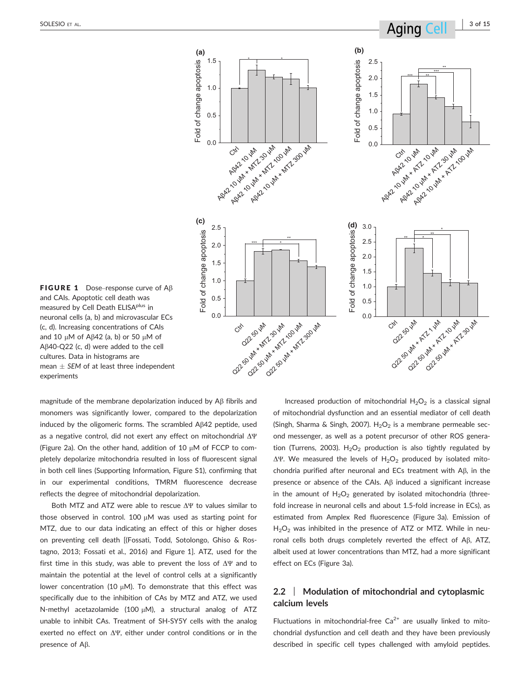

**FIGURE 1** Dose–response curve of  $AB$ and CAIs. Apoptotic cell death was measured by Cell Death ELISA<sup>plus</sup> in neuronal cells (a, b) and microvascular ECs (c, d). Increasing concentrations of CAIs and 10  $\mu$ M of A $\beta$ 42 (a, b) or 50  $\mu$ M of  $A\beta$ 40-Q22 (c, d) were added to the cell cultures. Data in histograms are mean  $\pm$  SEM of at least three independent experiments

magnitude of the membrane depolarization induced by A<sub>B</sub> fibrils and monomers was significantly lower, compared to the depolarization induced by the oligomeric forms. The scrambled  $A\beta42$  peptide, used as a negative control, did not exert any effect on mitochondrial  $\Delta \Psi$ (Figure 2a). On the other hand, addition of 10  $\mu$ M of FCCP to completely depolarize mitochondria resulted in loss of fluorescent signal in both cell lines (Supporting Information, Figure S1), confirming that in our experimental conditions, TMRM fluorescence decrease reflects the degree of mitochondrial depolarization.

Both MTZ and ATZ were able to rescue  $\Delta\Psi$  to values similar to those observed in control. 100  $\mu$ M was used as starting point for MTZ, due to our data indicating an effect of this or higher doses on preventing cell death [(Fossati, Todd, Sotolongo, Ghiso & Rostagno, 2013; Fossati et al., 2016) and Figure 1]. ATZ, used for the first time in this study, was able to prevent the loss of  $\Delta \Psi$  and to maintain the potential at the level of control cells at a significantly lower concentration (10  $\mu$ M). To demonstrate that this effect was specifically due to the inhibition of CAs by MTZ and ATZ, we used N-methyl acetazolamide (100  $\mu$ M), a structural analog of ATZ unable to inhibit CAs. Treatment of SH-SY5Y cells with the analog exerted no effect on  $\Delta\Psi$ , either under control conditions or in the presence of  $A\beta$ .

Increased production of mitochondrial  $H_2O_2$  is a classical signal of mitochondrial dysfunction and an essential mediator of cell death (Singh, Sharma & Singh, 2007).  $H_2O_2$  is a membrane permeable second messenger, as well as a potent precursor of other ROS generation (Turrens, 2003).  $H_2O_2$  production is also tightly regulated by  $\Delta\Psi$ . We measured the levels of H<sub>2</sub>O<sub>2</sub> produced by isolated mitochondria purified after neuronal and ECs treatment with  $\mathsf{AB}, \mathsf{in}$  the presence or absence of the CAIs. A $\beta$  induced a significant increase in the amount of  $H_2O_2$  generated by isolated mitochondria (threefold increase in neuronal cells and about 1.5-fold increase in ECs), as estimated from Amplex Red fluorescence (Figure 3a). Emission of  $H<sub>2</sub>O<sub>2</sub>$  was inhibited in the presence of ATZ or MTZ. While in neuronal cells both drugs completely reverted the effect of  $A\beta$ , ATZ, albeit used at lower concentrations than MTZ, had a more significant effect on ECs (Figure 3a).

# 2.2 | Modulation of mitochondrial and cytoplasmic calcium levels

Fluctuations in mitochondrial-free  $Ca^{2+}$  are usually linked to mitochondrial dysfunction and cell death and they have been previously described in specific cell types challenged with amyloid peptides.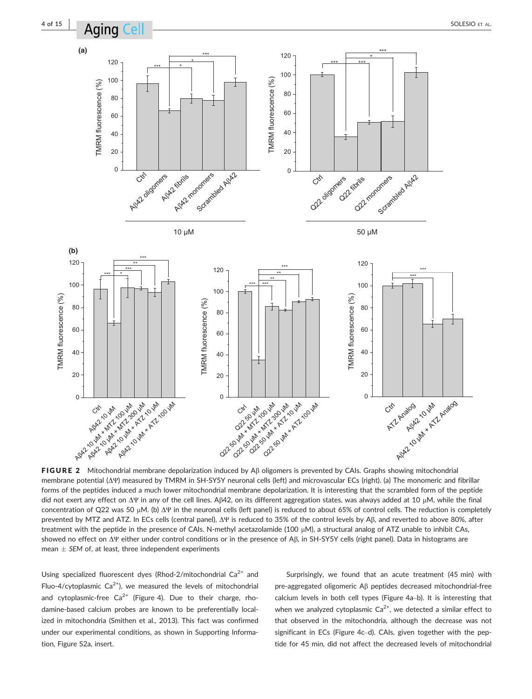

FIGURE 2 Mitochondrial membrane depolarization induced by  $A\beta$  oligomers is prevented by CAIs. Graphs showing mitochondrial membrane potential (ΔΨ) measured by TMRM in SH-SY5Y neuronal cells (left) and microvascular ECs (right). (a) The monomeric and fibrillar forms of the peptides induced a much lower mitochondrial membrane depolarization. It is interesting that the scrambled form of the peptide did not exert any effect on ΔΨ in any of the cell lines. Aβ42, on its different aggregation states, was always added at 10 μM, while the final concentration of Q22 was 50 μM. (b) ΔΨ in the neuronal cells (left panel) is reduced to about 65% of control cells. The reduction is completely prevented by MTZ and ATZ. In ECs cells (central panel), ΔΨ is reduced to 35% of the control levels by Aβ, and reverted to above 80%, after treatment with the peptide in the presence of CAIs. N-methyl acetazolamide (100 µM), a structural analog of ATZ unable to inhibit CAs, showed no effect on ΔΨ either under control conditions or in the presence of Aβ, in SH-SY5Y cells (right panel). Data in histograms are mean  $\pm$  SEM of, at least, three independent experiments

Using specialized fluorescent dyes (Rhod-2/mitochondrial  $Ca^{2+}$  and Fluo-4/cytoplasmic  $Ca^{2+}$ ), we measured the levels of mitochondrial and cytoplasmic-free  $Ca^{2+}$  (Figure 4). Due to their charge, rhodamine-based calcium probes are known to be preferentially localized in mitochondria (Smithen et al., 2013). This fact was confirmed under our experimental conditions, as shown in Supporting Information, Figure S2a, insert.

Surprisingly, we found that an acute treatment (45 min) with pre-aggregated oligomeric Ab peptides decreased mitochondrial-free calcium levels in both cell types (Figure 4a–b). It is interesting that when we analyzed cytoplasmic  $Ca^{2+}$ , we detected a similar effect to that observed in the mitochondria, although the decrease was not significant in ECs (Figure 4c–d). CAIs, given together with the peptide for 45 min, did not affect the decreased levels of mitochondrial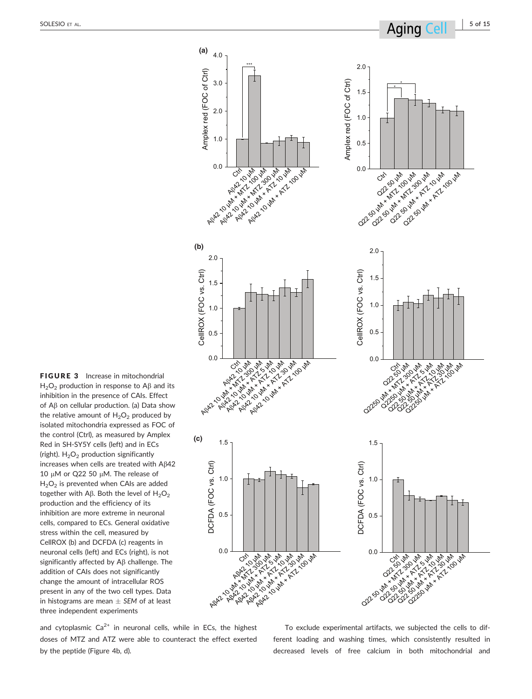**(a)** 4.0 2.0 \*\*\* Amplex red (FOC of Ctrl) Amplex red (FOC of Ctrl) Amplex red (FOC of Ctrl) 3.0 Amplex red (FOC of Ctrl) \* \* 1.5 2.0 1.0 1.0 0.5 Age 10 MM + ATZ 100 HM OUR ASH MAY 200 MM Ollywin + ATL 2 Hat 00 μM Ly Valley Ash ATZ 10 HM RA<br>AR 10 1 M + M + C 10 HM 0.0 cm + M2 100 mm A<sup>β</sup>42 10 μM + ATZ 10 μM A<sup>β</sup>42 10 μM + MTZ 300 μM **(b)** 2.0 2.0 CellROX (FOC vs. Ctrl) CellROX (FOC vs. Ctrl) CellROX (FOC vs. Ctrl) CellROX (FOC vs. Ctrl) 1.5 1.5 1.0 1.0 0.5 0.5 AP 10 2 M + AT 100 HM 0.0 RAP<br>AP42 10 10 μM + ATZ 10 μM<br>Ag42 10 μM + ATZ 10 μM + ATZ<br>AP42 10 μM + ATZ 50 μM + ATZ **Q250 μM + ATZ 5 200 μM**<br>Q2250 200 μM + ATZ 5 200 μM<br>Q250 200 μM + ATZ 5 200 μM<br>Q250 200 μM + ATZ 5 200 μM Q2-X1-3-4 **Q250 μM + ATZ 100 μM**<br>ATZ 30 μM + ATZ 100 μM<br>S250 μM + ATZ 100 μM<br>S250 μM + ATZ 100 μM<br>S250 μM + ATZ 100 μM **(c)** 1.5 1.5 DCFDA (FOC vs. Ctrl) DCFDA (FOC vs. Ctrl) DCFDA (FOC vs. Ctrl) DCFDA (FOC vs. Ctrl) 1.0 1.0 0.5 0.5 0.0 0.0 Cts<sup>2</sup> Rg<br>Agata 10 μM + ATZ<br>Agata 10 μM + ATZ 10 μM<br>Agata 10 μM + ATZ 10 μM Ag 10 μM + ATZ 100 μM + ATZ 100 μM  $\theta_{2}^{3}$   $\theta_{3}^{2}$   $\theta_{4}^{2}$   $\theta_{5}^{2}$   $\theta_{5}^{2}$   $\theta_{6}^{2}$   $\theta_{7}^{2}$   $\theta_{8}^{2}$   $\theta_{9}^{2}$   $\theta_{1}^{2}$   $\theta_{1}^{2}$   $\theta_{1}^{2}$   $\theta_{1}^{2}$   $\theta_{1}^{2}$   $\theta_{1}^{2}$   $\theta_{1}^{2}$   $\theta_{1}^{2}$   $\theta_{1}^{2}$   $\theta_{1}^{2}$   $\theta_{1}^{2}$  Q2 50 HM Q2 50 μM + ATZ 100 μM + ATZ<br>ATZ 10 μM + ATZ 100 μM + ATZ<br>SO 20 μM + ATZ 100 μM + ATZ<br>CATZ 30 μM + ATZ 100 μM + ATZ

FIGURE 3 Increase in mitochondrial  $H<sub>2</sub>O<sub>2</sub>$  production in response to A $\beta$  and its inhibition in the presence of CAIs. Effect of Ab on cellular production. (a) Data show the relative amount of  $H_2O_2$  produced by isolated mitochondria expressed as FOC of the control (Ctrl), as measured by Amplex Red in SH-SY5Y cells (left) and in ECs (right).  $H_2O_2$  production significantly increases when cells are treated with Aß42 10  $\mu$ M or Q22 50  $\mu$ M. The release of  $H<sub>2</sub>O<sub>2</sub>$  is prevented when CAIs are added together with A $\beta$ . Both the level of H<sub>2</sub>O<sub>2</sub> production and the efficiency of its inhibition are more extreme in neuronal cells, compared to ECs. General oxidative stress within the cell, measured by CellROX (b) and DCFDA (c) reagents in neuronal cells (left) and ECs (right), is not significantly affected by  $AB$  challenge. The addition of CAIs does not significantly change the amount of intracellular ROS present in any of the two cell types. Data in histograms are mean  $\pm$  SEM of at least three independent experiments

and cytoplasmic  $Ca^{2+}$  in neuronal cells, while in ECs, the highest doses of MTZ and ATZ were able to counteract the effect exerted by the peptide (Figure 4b, d).

To exclude experimental artifacts, we subjected the cells to different loading and washing times, which consistently resulted in decreased levels of free calcium in both mitochondrial and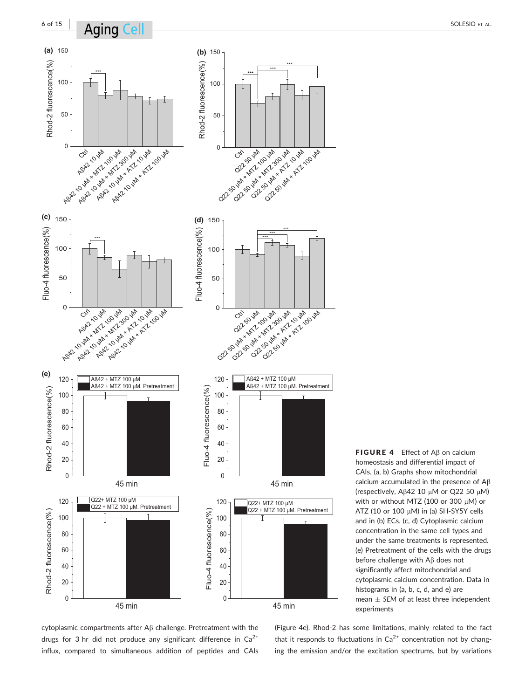

**FIGURE 4** Effect of  $\mathsf{AB}$  on calcium homeostasis and differential impact of CAIs. (a, b) Graphs show mitochondrial calcium accumulated in the presence of  $A\beta$ (respectively, A $\beta$ 42 10 µM or Q22 50 µM) with or without MTZ (100 or 300  $\mu$ M) or ATZ (10 or 100  $\mu$ M) in (a) SH-SY5Y cells and in (b) ECs. (c, d) Cytoplasmic calcium concentration in the same cell types and under the same treatments is represented. (e) Pretreatment of the cells with the drugs before challenge with  $A\beta$  does not significantly affect mitochondrial and cytoplasmic calcium concentration. Data in histograms in (a, b, c, d, and e) are mean  $\pm$  SEM of at least three independent experiments

cytoplasmic compartments after A<sub>B</sub> challenge. Pretreatment with the drugs for 3 hr did not produce any significant difference in  $Ca^{2+}$ influx, compared to simultaneous addition of peptides and CAIs

(Figure 4e). Rhod-2 has some limitations, mainly related to the fact that it responds to fluctuations in  $Ca<sup>2+</sup>$  concentration not by changing the emission and/or the excitation spectrums, but by variations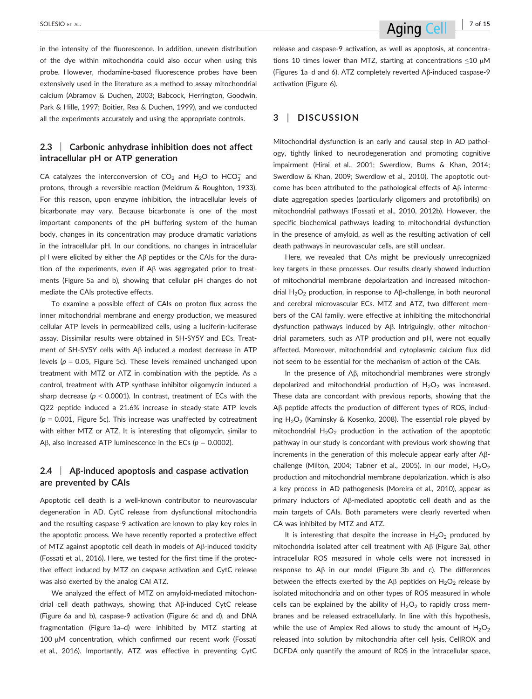in the intensity of the fluorescence. In addition, uneven distribution of the dye within mitochondria could also occur when using this probe. However, rhodamine-based fluorescence probes have been extensively used in the literature as a method to assay mitochondrial calcium (Abramov & Duchen, 2003; Babcock, Herrington, Goodwin, Park & Hille, 1997; Boitier, Rea & Duchen, 1999), and we conducted all the experiments accurately and using the appropriate controls.

# 2.3 | Carbonic anhydrase inhibition does not affect intracellular pH or ATP generation

CA catalyzes the interconversion of  $CO_2$  and  $H_2O$  to  $HCO_3^-$  and protons, through a reversible reaction (Meldrum & Roughton, 1933). For this reason, upon enzyme inhibition, the intracellular levels of bicarbonate may vary. Because bicarbonate is one of the most important components of the pH buffering system of the human body, changes in its concentration may produce dramatic variations in the intracellular pH. In our conditions, no changes in intracellular  $pH$  were elicited by either the A $\beta$  peptides or the CAIs for the duration of the experiments, even if  $A\beta$  was aggregated prior to treatments (Figure 5a and b), showing that cellular pH changes do not mediate the CAIs protective effects.

To examine a possible effect of CAIs on proton flux across the inner mitochondrial membrane and energy production, we measured cellular ATP levels in permeabilized cells, using a luciferin-luciferase assay. Dissimilar results were obtained in SH-SY5Y and ECs. Treatment of SH-SY5Y cells with A<sub>B</sub> induced a modest decrease in ATP levels ( $p = 0.05$ , Figure 5c). These levels remained unchanged upon treatment with MTZ or ATZ in combination with the peptide. As a control, treatment with ATP synthase inhibitor oligomycin induced a sharp decrease ( $p < 0.0001$ ). In contrast, treatment of ECs with the Q22 peptide induced a 21.6% increase in steady-state ATP levels  $(p = 0.001$ , Figure 5c). This increase was unaffected by cotreatment with either MTZ or ATZ. It is interesting that oligomycin, similar to A $\beta$ , also increased ATP luminescence in the ECs ( $p = 0.0002$ ).

# $2.4$  | AB-induced apoptosis and caspase activation are prevented by CAIs

Apoptotic cell death is a well-known contributor to neurovascular degeneration in AD. CytC release from dysfunctional mitochondria and the resulting caspase-9 activation are known to play key roles in the apoptotic process. We have recently reported a protective effect of MTZ against apoptotic cell death in models of  $A\beta$ -induced toxicity (Fossati et al., 2016). Here, we tested for the first time if the protective effect induced by MTZ on caspase activation and CytC release was also exerted by the analog CAI ATZ.

We analyzed the effect of MTZ on amyloid-mediated mitochondrial cell death pathways, showing that  $A\beta$ -induced CytC release (Figure 6a and b), caspase-9 activation (Figure 6c and d), and DNA fragmentation (Figure 1a–d) were inhibited by MTZ starting at  $100 \mu$ M concentration, which confirmed our recent work (Fossati et al., 2016). Importantly, ATZ was effective in preventing CytC release and caspase-9 activation, as well as apoptosis, at concentrations 10 times lower than MTZ, starting at concentrations  $\leq$ 10 µM (Figures 1a–d and 6). ATZ completely reverted Ab-induced caspase-9 activation (Figure 6).

# 3 | DISCUSSION

Mitochondrial dysfunction is an early and causal step in AD pathology, tightly linked to neurodegeneration and promoting cognitive impairment (Hirai et al., 2001; Swerdlow, Burns & Khan, 2014; Swerdlow & Khan, 2009; Swerdlow et al., 2010). The apoptotic outcome has been attributed to the pathological effects of  $A\beta$  intermediate aggregation species (particularly oligomers and protofibrils) on mitochondrial pathways (Fossati et al., 2010, 2012b). However, the specific biochemical pathways leading to mitochondrial dysfunction in the presence of amyloid, as well as the resulting activation of cell death pathways in neurovascular cells, are still unclear.

Here, we revealed that CAs might be previously unrecognized key targets in these processes. Our results clearly showed induction of mitochondrial membrane depolarization and increased mitochondrial  $H_2O_2$  production, in response to A $\beta$ -challenge, in both neuronal and cerebral microvascular ECs. MTZ and ATZ, two different members of the CAI family, were effective at inhibiting the mitochondrial dysfunction pathways induced by A<sub>B</sub>. Intriguingly, other mitochondrial parameters, such as ATP production and pH, were not equally affected. Moreover, mitochondrial and cytoplasmic calcium flux did not seem to be essential for the mechanism of action of the CAIs.

In the presence of A<sub>B</sub>, mitochondrial membranes were strongly depolarized and mitochondrial production of  $H_2O_2$  was increased. These data are concordant with previous reports, showing that the A<sub>B</sub> peptide affects the production of different types of ROS, including  $H_2O_2$  (Kaminsky & Kosenko, 2008). The essential role played by mitochondrial  $H_2O_2$  production in the activation of the apoptotic pathway in our study is concordant with previous work showing that increments in the generation of this molecule appear early after Abchallenge (Milton, 2004; Tabner et al., 2005). In our model,  $H_2O_2$ production and mitochondrial membrane depolarization, which is also a key process in AD pathogenesis (Moreira et al., 2010), appear as primary inductors of Ab-mediated apoptotic cell death and as the main targets of CAIs. Both parameters were clearly reverted when CA was inhibited by MTZ and ATZ.

It is interesting that despite the increase in  $H_2O_2$  produced by mitochondria isolated after cell treatment with  $\mathsf{AB}$  (Figure 3a), other intracellular ROS measured in whole cells were not increased in response to  $\mathsf{AB}$  in our model (Figure 3b and c). The differences between the effects exerted by the A $\beta$  peptides on H<sub>2</sub>O<sub>2</sub> release by isolated mitochondria and on other types of ROS measured in whole cells can be explained by the ability of  $H_2O_2$  to rapidly cross membranes and be released extracellularly. In line with this hypothesis, while the use of Amplex Red allows to study the amount of  $H_2O_2$ released into solution by mitochondria after cell lysis, CellROX and DCFDA only quantify the amount of ROS in the intracellular space,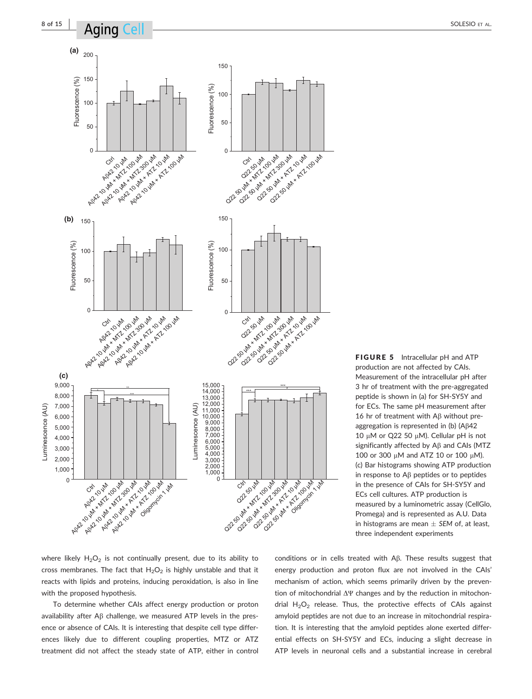

FIGURE 5 Intracellular pH and ATP production are not affected by CAIs. Measurement of the intracellular pH after 3 hr of treatment with the pre-aggregated peptide is shown in (a) for SH-SY5Y and for ECs. The same pH measurement after 16 hr of treatment with  $\mathsf{A}\beta$  without preaggregation is represented in (b) ( $\beta$  $42$ 10  $\mu$ M or Q22 50  $\mu$ M). Cellular pH is not significantly affected by  $A\beta$  and CAIs (MTZ 100 or 300  $\mu$ M and ATZ 10 or 100  $\mu$ M). (c) Bar histograms showing ATP production in response to  $\mathsf{A}\beta$  peptides or to peptides in the presence of CAIs for SH-SY5Y and ECs cell cultures. ATP production is measured by a luminometric assay (CellGlo, Promega) and is represented as A.U. Data in histograms are mean  $\pm$  SEM of, at least, three independent experiments

where likely  $H_2O_2$  is not continually present, due to its ability to cross membranes. The fact that  $H_2O_2$  is highly unstable and that it reacts with lipids and proteins, inducing peroxidation, is also in line with the proposed hypothesis.

To determine whether CAIs affect energy production or proton availability after A $\beta$  challenge, we measured ATP levels in the presence or absence of CAIs. It is interesting that despite cell type differences likely due to different coupling properties, MTZ or ATZ treatment did not affect the steady state of ATP, either in control conditions or in cells treated with Aß. These results suggest that energy production and proton flux are not involved in the CAIs' mechanism of action, which seems primarily driven by the prevention of mitochondrial  $\Delta \Psi$  changes and by the reduction in mitochondrial  $H_2O_2$  release. Thus, the protective effects of CAIs against amyloid peptides are not due to an increase in mitochondrial respiration. It is interesting that the amyloid peptides alone exerted differential effects on SH-SY5Y and ECs, inducing a slight decrease in ATP levels in neuronal cells and a substantial increase in cerebral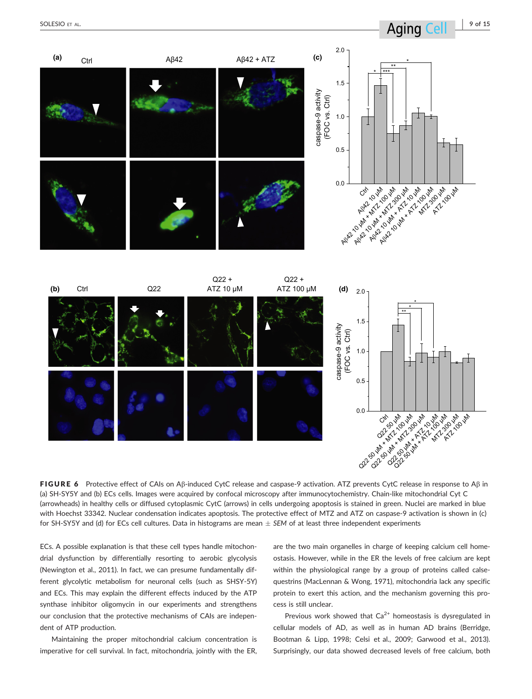

FIGURE 6 Protective effect of CAIs on Aß-induced CytC release and caspase-9 activation. ATZ prevents CytC release in response to Aß in (a) SH-SY5Y and (b) ECs cells. Images were acquired by confocal microscopy after immunocytochemistry. Chain-like mitochondrial Cyt C (arrowheads) in healthy cells or diffused cytoplasmic CytC (arrows) in cells undergoing apoptosis is stained in green. Nuclei are marked in blue with Hoechst 33342. Nuclear condensation indicates apoptosis. The protective effect of MTZ and ATZ on caspase-9 activation is shown in (c) for SH-SY5Y and (d) for ECs cell cultures. Data in histograms are mean  $\pm$  SEM of at least three independent experiments

ECs. A possible explanation is that these cell types handle mitochondrial dysfunction by differentially resorting to aerobic glycolysis (Newington et al., 2011). In fact, we can presume fundamentally different glycolytic metabolism for neuronal cells (such as SHSY-5Y) and ECs. This may explain the different effects induced by the ATP synthase inhibitor oligomycin in our experiments and strengthens our conclusion that the protective mechanisms of CAIs are independent of ATP production.

Maintaining the proper mitochondrial calcium concentration is imperative for cell survival. In fact, mitochondria, jointly with the ER, are the two main organelles in charge of keeping calcium cell homeostasis. However, while in the ER the levels of free calcium are kept within the physiological range by a group of proteins called calsequestrins (MacLennan & Wong, 1971), mitochondria lack any specific protein to exert this action, and the mechanism governing this process is still unclear.

Previous work showed that  $Ca^{2+}$  homeostasis is dysregulated in cellular models of AD, as well as in human AD brains (Berridge, Bootman & Lipp, 1998; Celsi et al., 2009; Garwood et al., 2013). Surprisingly, our data showed decreased levels of free calcium, both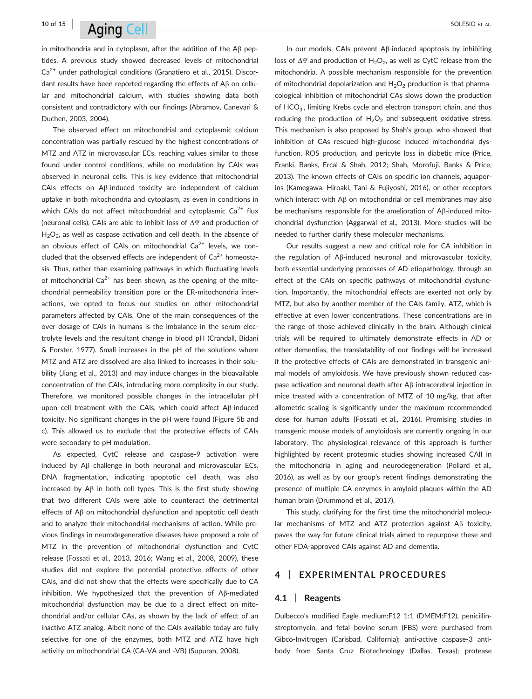# 10 of 15 | SOLESIO ET AL.

in mitochondria and in cytoplasm, after the addition of the A $\beta$  peptides. A previous study showed decreased levels of mitochondrial  $Ca<sup>2+</sup>$  under pathological conditions (Granatiero et al., 2015). Discordant results have been reported regarding the effects of A<sub>B</sub> on cellular and mitochondrial calcium, with studies showing data both consistent and contradictory with our findings (Abramov, Canevari & Duchen, 2003, 2004).

The observed effect on mitochondrial and cytoplasmic calcium concentration was partially rescued by the highest concentrations of MTZ and ATZ in microvascular ECs, reaching values similar to those found under control conditions, while no modulation by CAIs was observed in neuronal cells. This is key evidence that mitochondrial CAIs effects on Aß-induced toxicity are independent of calcium uptake in both mitochondria and cytoplasm, as even in conditions in which CAIs do not affect mitochondrial and cytoplasmic  $Ca^{2+}$  flux (neuronal cells), CAIs are able to inhibit loss of ΔΨ and production of  $H<sub>2</sub>O<sub>2</sub>$ , as well as caspase activation and cell death. In the absence of an obvious effect of CAIs on mitochondrial  $Ca^{2+}$  levels, we concluded that the observed effects are independent of  $Ca^{2+}$  homeostasis. Thus, rather than examining pathways in which fluctuating levels of mitochondrial  $Ca^{2+}$  has been shown, as the opening of the mitochondrial permeability transition pore or the ER-mitochondria interactions, we opted to focus our studies on other mitochondrial parameters affected by CAIs. One of the main consequences of the over dosage of CAIs in humans is the imbalance in the serum electrolyte levels and the resultant change in blood pH (Crandall, Bidani & Forster, 1977). Small increases in the pH of the solutions where MTZ and ATZ are dissolved are also linked to increases in their solubility (Jiang et al., 2013) and may induce changes in the bioavailable concentration of the CAIs, introducing more complexity in our study. Therefore, we monitored possible changes in the intracellular pH upon cell treatment with the CAIs, which could affect Aß-induced toxicity. No significant changes in the pH were found (Figure 5b and c). This allowed us to exclude that the protective effects of CAIs were secondary to pH modulation.

As expected, CytC release and caspase-9 activation were induced by  $\mathsf{A}\beta$  challenge in both neuronal and microvascular ECs. DNA fragmentation, indicating apoptotic cell death, was also increased by  $A\beta$  in both cell types. This is the first study showing that two different CAIs were able to counteract the detrimental effects of A<sub>B</sub> on mitochondrial dysfunction and apoptotic cell death and to analyze their mitochondrial mechanisms of action. While previous findings in neurodegenerative diseases have proposed a role of MTZ in the prevention of mitochondrial dysfunction and CytC release (Fossati et al., 2013, 2016; Wang et al., 2008, 2009), these studies did not explore the potential protective effects of other CAIs, and did not show that the effects were specifically due to CA inhibition. We hypothesized that the prevention of  $\mathsf{A}\beta$ -mediated mitochondrial dysfunction may be due to a direct effect on mitochondrial and/or cellular CAs, as shown by the lack of effect of an inactive ATZ analog. Albeit none of the CAIs available today are fully selective for one of the enzymes, both MTZ and ATZ have high activity on mitochondrial CA (CA-VA and -VB) (Supuran, 2008).

In our models, CAIs prevent A $\beta$ -induced apoptosis by inhibiting loss of  $\Delta \Psi$  and production of H<sub>2</sub>O<sub>2</sub>, as well as CytC release from the mitochondria. A possible mechanism responsible for the prevention of mitochondrial depolarization and  $H_2O_2$  production is that pharmacological inhibition of mitochondrial CAs slows down the production of  $HCO_3^-$ , limiting Krebs cycle and electron transport chain, and thus reducing the production of  $H_2O_2$  and subsequent oxidative stress. This mechanism is also proposed by Shah's group, who showed that inhibition of CAs rescued high-glucose induced mitochondrial dysfunction, ROS production, and pericyte loss in diabetic mice (Price, Eranki, Banks, Ercal & Shah, 2012; Shah, Morofuji, Banks & Price, 2013). The known effects of CAIs on specific ion channels, aquaporins (Kamegawa, Hiroaki, Tani & Fujiyoshi, 2016), or other receptors which interact with  $\text{AB}$  on mitochondrial or cell membranes may also be mechanisms responsible for the amelioration of  $A\beta$ -induced mitochondrial dysfunction (Aggarwal et al., 2013). More studies will be needed to further clarify these molecular mechanisms.

Our results suggest a new and critical role for CA inhibition in the regulation of Ab-induced neuronal and microvascular toxicity, both essential underlying processes of AD etiopathology, through an effect of the CAIs on specific pathways of mitochondrial dysfunction. Importantly, the mitochondrial effects are exerted not only by MTZ, but also by another member of the CAIs family, ATZ, which is effective at even lower concentrations. These concentrations are in the range of those achieved clinically in the brain. Although clinical trials will be required to ultimately demonstrate effects in AD or other dementias, the translatability of our findings will be increased if the protective effects of CAIs are demonstrated in transgenic animal models of amyloidosis. We have previously shown reduced caspase activation and neuronal death after Ab intracerebral injection in mice treated with a concentration of MTZ of 10 mg/kg, that after allometric scaling is significantly under the maximum recommended dose for human adults (Fossati et al., 2016). Promising studies in transgenic mouse models of amyloidosis are currently ongoing in our laboratory. The physiological relevance of this approach is further highlighted by recent proteomic studies showing increased CAII in the mitochondria in aging and neurodegeneration (Pollard et al., 2016), as well as by our group's recent findings demonstrating the presence of multiple CA enzymes in amyloid plaques within the AD human brain (Drummond et al., 2017).

This study, clarifying for the first time the mitochondrial molecular mechanisms of MTZ and ATZ protection against  $A\beta$  toxicity, paves the way for future clinical trials aimed to repurpose these and other FDA-approved CAIs against AD and dementia.

## EXPERIMENTAL PROCEDURES

#### 4.1 | Reagents

Dulbecco's modified Eagle medium:F12 1:1 (DMEM:F12), penicillinstreptomycin, and fetal bovine serum (FBS) were purchased from Gibco-Invitrogen (Carlsbad, California); anti-active caspase-3 antibody from Santa Cruz Biotechnology (Dallas, Texas); protease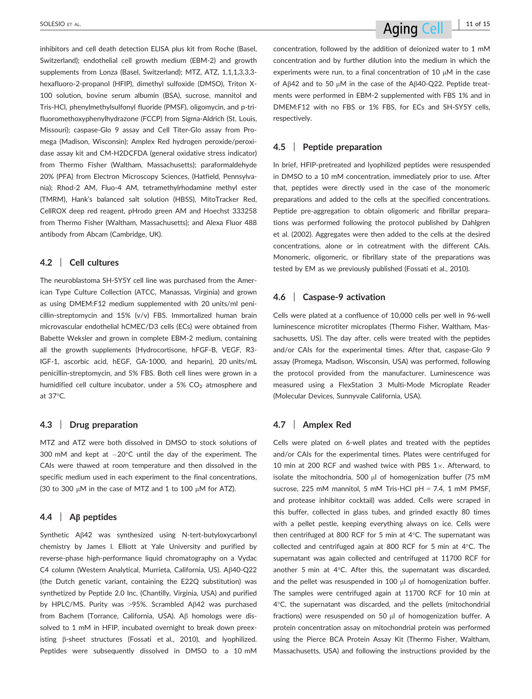inhibitors and cell death detection ELISA plus kit from Roche (Basel, Switzerland); endothelial cell growth medium (EBM-2) and growth supplements from Lonza (Basel, Switzerland); MTZ, ATZ, 1,1,1,3,3,3 hexafluoro-2-propanol (HFIP), dimethyl sulfoxide (DMSO), Triton X-100 solution, bovine serum albumin (BSA), sucrose, mannitol and Tris-HCl, phenylmethylsulfonyl fluoride (PMSF), oligomycin, and p-trifluoromethoxyphenylhydrazone (FCCP) from Sigma-Aldrich (St. Louis, Missouri); caspase-Glo 9 assay and Cell Titer-Glo assay from Promega (Madison, Wisconsin); Amplex Red hydrogen peroxide/peroxidase assay kit and CM-H2DCFDA (general oxidative stress indicator) from Thermo Fisher (Waltham, Massachusetts); paraformaldehyde 20% (PFA) from Electron Microscopy Sciences, (Hatfield, Pennsylvania); Rhod-2 AM, Fluo-4 AM, tetramethylrhodamine methyl ester (TMRM), Hank's balanced salt solution (HBSS), MitoTracker Red, CellROX deep red reagent, pHrodo green AM and Hoechst 333258 from Thermo Fisher (Waltham, Massachusetts); and Alexa Fluor 488 antibody from Abcam (Cambridge, UK).

#### 4.2 | Cell cultures

The neuroblastoma SH-SY5Y cell line was purchased from the American Type Culture Collection (ATCC, Manassas, Virginia) and grown as using DMEM:F12 medium supplemented with 20 units/ml penicillin-streptomycin and 15% (v/v) FBS. Immortalized human brain microvascular endothelial hCMEC/D3 cells (ECs) were obtained from Babette Weksler and grown in complete EBM-2 medium, containing all the growth supplements (Hydrocortisone, hFGF-B, VEGF, R3- IGF-1, ascorbic acid, hEGF, GA-1000, and heparin), 20 units/mL penicillin-streptomycin, and 5% FBS. Both cell lines were grown in a humidified cell culture incubator, under a 5%  $CO<sub>2</sub>$  atmosphere and at 37°C.

#### 4.3 | Drug preparation

MTZ and ATZ were both dissolved in DMSO to stock solutions of 300 mM and kept at  $-20^{\circ}$ C until the day of the experiment. The CAIs were thawed at room temperature and then dissolved in the specific medium used in each experiment to the final concentrations, (30 to 300  $\mu$ M in the case of MTZ and 1 to 100  $\mu$ M for ATZ).

### 4.4 |  $\overrightarrow{AB}$  peptides

Synthetic  $A\beta 42$  was synthesized using N-tert-butyloxycarbonyl chemistry by James I. Elliott at Yale University and purified by reverse-phase high-performance liquid chromatography on a Vydac C4 column (Western Analytical, Murrieta, California, US). Aß40-Q22 (the Dutch genetic variant, containing the E22Q substitution) was synthetized by Peptide 2.0 Inc. (Chantilly, Virginia, USA) and purified by HPLC/MS. Purity was >95%. Scrambled  $A\beta$ 42 was purchased from Bachem (Torrance, California, USA). Aß homologs were dissolved to 1 mM in HFIP, incubated overnight to break down preexisting  $\beta$ -sheet structures (Fossati et al., 2010), and lyophilized. Peptides were subsequently dissolved in DMSO to a 10 mM concentration, followed by the addition of deionized water to 1 mM concentration and by further dilution into the medium in which the experiments were run, to a final concentration of 10  $\mu$ M in the case of A $\beta$ 42 and to 50  $\mu$ M in the case of the A $\beta$ 40-Q22. Peptide treatments were performed in EBM-2 supplemented with FBS 1% and in DMEM:F12 with no FBS or 1% FBS, for ECs and SH-SY5Y cells, respectively.

#### 4.5 | Peptide preparation

In brief, HFIP-pretreated and lyophilized peptides were resuspended in DMSO to a 10 mM concentration, immediately prior to use. After that, peptides were directly used in the case of the monomeric preparations and added to the cells at the specified concentrations. Peptide pre-aggregation to obtain oligomeric and fibrillar preparations was performed following the protocol published by Dahlgren et al. (2002). Aggregates were then added to the cells at the desired concentrations, alone or in cotreatment with the different CAIs. Monomeric, oligomeric, or fibrillary state of the preparations was tested by EM as we previously published (Fossati et al., 2010).

#### 4.6 | Caspase-9 activation

Cells were plated at a confluence of 10,000 cells per well in 96-well luminescence microtiter microplates (Thermo Fisher, Waltham, Massachusetts, US). The day after, cells were treated with the peptides and/or CAIs for the experimental times. After that, caspase-Glo 9 assay (Promega, Madison, Wisconsin, USA) was performed, following the protocol provided from the manufacturer. Luminescence was measured using a FlexStation 3 Multi-Mode Microplate Reader (Molecular Devices, Sunnyvale California, USA).

#### 4.7 | Amplex Red

Cells were plated on 6-well plates and treated with the peptides and/or CAIs for the experimental times. Plates were centrifuged for 10 min at 200 RCF and washed twice with PBS  $1\times$ . Afterward, to isolate the mitochondria, 500  $\mu$ l of homogenization buffer (75 mM sucrose, 225 mM mannitol, 5 mM Tris-HCl pH = 7.4, 1 mM PMSF, and protease inhibitor cocktail) was added. Cells were scraped in this buffer, collected in glass tubes, and grinded exactly 80 times with a pellet pestle, keeping everything always on ice. Cells were then centrifuged at 800 RCF for 5 min at 4°C. The supernatant was collected and centrifuged again at 800 RCF for 5 min at 4°C. The supernatant was again collected and centrifuged at 11700 RCF for another 5 min at 4°C. After this, the supernatant was discarded, and the pellet was resuspended in 100  $\mu$ l of homogenization buffer. The samples were centrifuged again at 11700 RCF for 10 min at 4°C, the supernatant was discarded, and the pellets (mitochondrial fractions) were resuspended on 50  $\mu$ l of homogenization buffer. A protein concentration assay on mitochondrial protein was performed using the Pierce BCA Protein Assay Kit (Thermo Fisher, Waltham, Massachusetts, USA) and following the instructions provided by the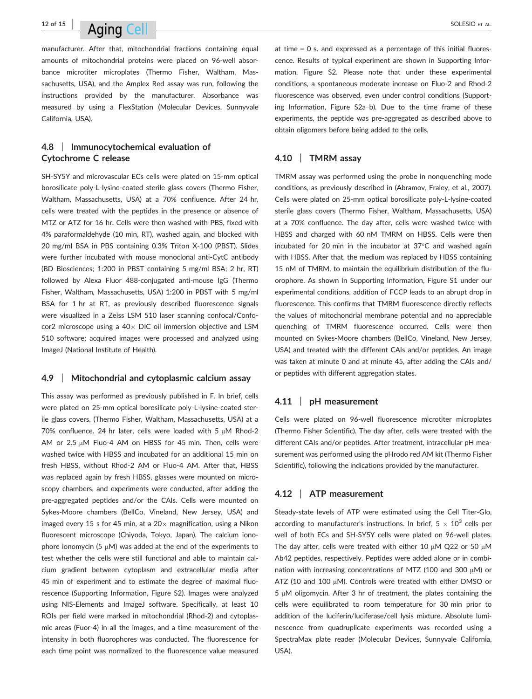# $12$  of 15  $\blacksquare$   $\blacksquare$   $\blacksquare$   $\blacksquare$   $\blacksquare$   $\blacksquare$   $\blacksquare$   $\blacksquare$   $\blacksquare$   $\blacksquare$   $\blacksquare$   $\blacksquare$   $\blacksquare$   $\blacksquare$   $\blacksquare$   $\blacksquare$   $\blacksquare$   $\blacksquare$   $\blacksquare$   $\blacksquare$   $\blacksquare$   $\blacksquare$   $\blacksquare$   $\blacksquare$   $\blacksquare$   $\blacksquare$   $\blacksquare$   $\blacksquare$   $\blacksquare$   $\blacksquare$

manufacturer. After that, mitochondrial fractions containing equal amounts of mitochondrial proteins were placed on 96-well absorbance microtiter microplates (Thermo Fisher, Waltham, Massachusetts, USA), and the Amplex Red assay was run, following the instructions provided by the manufacturer. Absorbance was measured by using a FlexStation (Molecular Devices, Sunnyvale California, USA).

# 4.8 | Immunocytochemical evaluation of Cytochrome C release

SH-SY5Y and microvascular ECs cells were plated on 15-mm optical borosilicate poly-L-lysine-coated sterile glass covers (Thermo Fisher, Waltham, Massachusetts, USA) at a 70% confluence. After 24 hr, cells were treated with the peptides in the presence or absence of MTZ or ATZ for 16 hr. Cells were then washed with PBS, fixed with 4% paraformaldehyde (10 min, RT), washed again, and blocked with 20 mg/ml BSA in PBS containing 0.3% Triton X-100 (PBST). Slides were further incubated with mouse monoclonal anti-CytC antibody (BD Biosciences; 1:200 in PBST containing 5 mg/ml BSA; 2 hr, RT) followed by Alexa Fluor 488-conjugated anti-mouse IgG (Thermo Fisher, Waltham, Massachusetts, USA) 1:200 in PBST with 5 mg/ml BSA for 1 hr at RT, as previously described fluorescence signals were visualized in a Zeiss LSM 510 laser scanning confocal/Confocor2 microscope using a  $40\times$  DIC oil immersion objective and LSM 510 software; acquired images were processed and analyzed using ImageJ (National Institute of Health).

#### 4.9 | Mitochondrial and cytoplasmic calcium assay

This assay was performed as previously published in F. In brief, cells were plated on 25-mm optical borosilicate poly-L-lysine-coated sterile glass covers, (Thermo Fisher, Waltham, Massachusetts, USA) at a 70% confluence. 24 hr later, cells were loaded with 5  $\mu$ M Rhod-2 AM or 2.5  $\mu$ M Fluo-4 AM on HBSS for 45 min. Then, cells were washed twice with HBSS and incubated for an additional 15 min on fresh HBSS, without Rhod-2 AM or Fluo-4 AM. After that, HBSS was replaced again by fresh HBSS, glasses were mounted on microscopy chambers, and experiments were conducted, after adding the pre-aggregated peptides and/or the CAIs. Cells were mounted on Sykes-Moore chambers (BellCo, Vineland, New Jersey, USA) and imaged every 15 s for 45 min, at a  $20\times$  magnification, using a Nikon fluorescent microscope (Chiyoda, Tokyo, Japan). The calcium ionophore ionomycin (5  $\mu$ M) was added at the end of the experiments to test whether the cells were still functional and able to maintain calcium gradient between cytoplasm and extracellular media after 45 min of experiment and to estimate the degree of maximal fluorescence (Supporting Information, Figure S2). Images were analyzed using NIS-Elements and ImageJ software. Specifically, at least 10 ROIs per field were marked in mitochondrial (Rhod-2) and cytoplasmic areas (Fuor-4) in all the images, and a time measurement of the intensity in both fluorophores was conducted. The fluorescence for each time point was normalized to the fluorescence value measured

at time  $= 0$  s. and expressed as a percentage of this initial fluorescence. Results of typical experiment are shown in Supporting Information, Figure S2. Please note that under these experimental conditions, a spontaneous moderate increase on Fluo-2 and Rhod-2 fluorescence was observed, even under control conditions (Supporting Information, Figure S2a–b). Due to the time frame of these experiments, the peptide was pre-aggregated as described above to obtain oligomers before being added to the cells.

#### 4.10 | TMRM assay

TMRM assay was performed using the probe in nonquenching mode conditions, as previously described in (Abramov, Fraley, et al., 2007). Cells were plated on 25-mm optical borosilicate poly-L-lysine-coated sterile glass covers (Thermo Fisher, Waltham, Massachusetts, USA) at a 70% confluence. The day after, cells were washed twice with HBSS and charged with 60 nM TMRM on HBSS. Cells were then incubated for 20 min in the incubator at 37°C and washed again with HBSS. After that, the medium was replaced by HBSS containing 15 nM of TMRM, to maintain the equilibrium distribution of the fluorophore. As shown in Supporting Information, Figure S1 under our experimental conditions, addition of FCCP leads to an abrupt drop in fluorescence. This confirms that TMRM fluorescence directly reflects the values of mitochondrial membrane potential and no appreciable quenching of TMRM fluorescence occurred. Cells were then mounted on Sykes-Moore chambers (BellCo, Vineland, New Jersey, USA) and treated with the different CAIs and/or peptides. An image was taken at minute 0 and at minute 45, after adding the CAIs and/ or peptides with different aggregation states.

#### 4.11 | pH measurement

Cells were plated on 96-well fluorescence microtiter microplates (Thermo Fisher Scientific). The day after, cells were treated with the different CAIs and/or peptides. After treatment, intracellular pH measurement was performed using the pHrodo red AM kit (Thermo Fisher Scientific), following the indications provided by the manufacturer.

### 4.12 | ATP measurement

Steady-state levels of ATP were estimated using the Cell Titer-Glo, according to manufacturer's instructions. In brief,  $5 \times 10^3$  cells per well of both ECs and SH-SY5Y cells were plated on 96-well plates. The day after, cells were treated with either 10  $\mu$ M Q22 or 50  $\mu$ M Ab42 peptides, respectively. Peptides were added alone or in combination with increasing concentrations of MTZ (100 and 300  $\mu$ M) or ATZ (10 and 100  $\mu$ M). Controls were treated with either DMSO or  $5 \mu$ M oligomycin. After 3 hr of treatment, the plates containing the cells were equilibrated to room temperature for 30 min prior to addition of the luciferin/luciferase/cell lysis mixture. Absolute luminescence from quadruplicate experiments was recorded using a SpectraMax plate reader (Molecular Devices, Sunnyvale California, USA).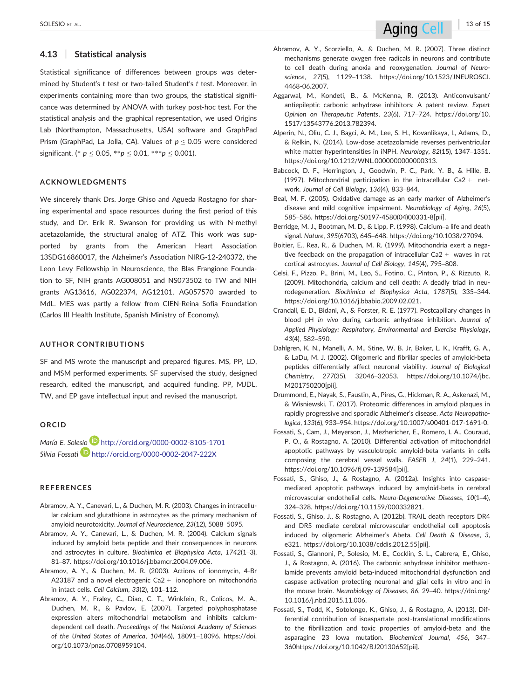Statistical significance of differences between groups was determined by Student's t test or two-tailed Student's t test. Moreover, in experiments containing more than two groups, the statistical significance was determined by ANOVA with turkey post-hoc test. For the statistical analysis and the graphical representation, we used Origins Lab (Northampton, Massachusetts, USA) software and GraphPad Prism (GraphPad, La Jolla, CA). Values of  $p \le 0.05$  were considered significant. (\*  $p \le 0.05$ , \*\* $p \le 0.01$ , \*\*\* $p \le 0.001$ ).

#### ACKNOWLEDGMENTS

We sincerely thank Drs. Jorge Ghiso and Agueda Rostagno for sharing experimental and space resources during the first period of this study, and Dr. Erik R. Swanson for providing us with N-methyl acetazolamide, the structural analog of ATZ. This work was supported by grants from the American Heart Association 13SDG16860017, the Alzheimer's Association NIRG-12-240372, the Leon Levy Fellowship in Neuroscience, the Blas Frangione Foundation to SF, NIH grants AG008051 and NS073502 to TW and NIH grants AG13616, AG022374, AG12101, AG057570 awarded to MdL. MES was partly a fellow from CIEN-Reina Sofia Foundation (Carlos III Health Institute, Spanish Ministry of Economy).

#### AUTHOR CONTRIBUTIONS

SF and MS wrote the manuscript and prepared figures. MS, PP, LD, and MSM performed experiments. SF supervised the study, designed research, edited the manuscript, and acquired funding. PP, MJDL, TW, and EP gave intellectual input and revised the manuscript.

#### ORCID

María E. Solesio D http://orcid.org/0000-0002-8105-1701 Silvia Fossati<sup>D</sup> http://orcid.org/0000-0002-2047-222X

#### REFERENCES

- Abramov, A. Y., Canevari, L., & Duchen, M. R. (2003). Changes in intracellular calcium and glutathione in astrocytes as the primary mechanism of amyloid neurotoxicity. Journal of Neuroscience, 23(12), 5088–5095.
- Abramov, A. Y., Canevari, L., & Duchen, M. R. (2004). Calcium signals induced by amyloid beta peptide and their consequences in neurons and astrocytes in culture. Biochimica et Biophysica Acta, 1742(1–3), 81–87. [https://doi.org/10.1016/j.bbamcr.2004.09.006.](https://doi.org/10.1016/j.bbamcr.2004.09.006)
- Abramov, A. Y., & Duchen, M. R. (2003). Actions of ionomycin, 4-Br A23187 and a novel electrogenic Ca2  $+$  ionophore on mitochondria in intact cells. Cell Calcium, 33(2), 101–112.
- Abramov, A. Y., Fraley, C., Diao, C. T., Winkfein, R., Colicos, M. A., Duchen, M. R., & Pavlov, E. (2007). Targeted polyphosphatase expression alters mitochondrial metabolism and inhibits calciumdependent cell death. Proceedings of the National Academy of Sciences of the United States of America, 104(46), 18091–18096. [https://doi.](https://doi.org/10.1073/pnas.0708959104) [org/10.1073/pnas.0708959104.](https://doi.org/10.1073/pnas.0708959104)
- Aggarwal, M., Kondeti, B., & McKenna, R. (2013). Anticonvulsant/ antiepileptic carbonic anhydrase inhibitors: A patent review. Expert Opinion on Therapeutic Patents, 23(6), 717–724. [https://doi.org/10.](https://doi.org/10.1517/13543776.2013.782394) [1517/13543776.2013.782394.](https://doi.org/10.1517/13543776.2013.782394)
- Alperin, N., Oliu, C. J., Bagci, A. M., Lee, S. H., Kovanlikaya, I., Adams, D., & Relkin, N. (2014). Low-dose acetazolamide reverses periventricular white matter hyperintensities in iNPH. Neurology, 82(15), 1347–1351. <https://doi.org/10.1212/WNL.0000000000000313>.
- Babcock, D. F., Herrington, J., Goodwin, P. C., Park, Y. B., & Hille, B. (1997). Mitochondrial participation in the intracellular Ca2 + network. Journal of Cell Biology, 136(4), 833–844.
- Beal, M. F. (2005). Oxidative damage as an early marker of Alzheimer's disease and mild cognitive impairment. Neurobiology of Aging, 26(5), 585–586. [https://doi.org/S0197-4580\(04\)00331-8\[pii\].](https://doi.org/S0197-4580(04)00331-8%5bpii%5d)
- Berridge, M. J., Bootman, M. D., & Lipp, P. (1998). Calcium–a life and death signal. Nature, 395(6703), 645–648.<https://doi.org/10.1038/27094>.
- Boitier, E., Rea, R., & Duchen, M. R. (1999). Mitochondria exert a negative feedback on the propagation of intracellular Ca2 + waves in rat cortical astrocytes. Journal of Cell Biology, 145(4), 795–808.
- Celsi, F., Pizzo, P., Brini, M., Leo, S., Fotino, C., Pinton, P., & Rizzuto, R. (2009). Mitochondria, calcium and cell death: A deadly triad in neurodegeneration. Biochimica et Biophysica Acta, 1787(5), 335–344. [https://doi.org/10.1016/j.bbabio.2009.02.021.](https://doi.org/10.1016/j.bbabio.2009.02.021)
- Crandall, E. D., Bidani, A., & Forster, R. E. (1977). Postcapillary changes in blood pH in vivo during carbonic anhydrase inhibition. Journal of Applied Physiology: Respiratory, Environmental and Exercise Physiology, 43(4), 582–590.
- Dahlgren, K. N., Manelli, A. M., Stine, W. B. Jr, Baker, L. K., Krafft, G. A., & LaDu, M. J. (2002). Oligomeric and fibrillar species of amyloid-beta peptides differentially affect neuronal viability. Journal of Biological Chemistry, 277(35), 32046–32053. [https://doi.org/10.1074/jbc.](https://doi.org/10.1074/jbc.M201750200%5bpii%5d) [M201750200\[pii\]](https://doi.org/10.1074/jbc.M201750200%5bpii%5d).
- Drummond, E., Nayak, S., Faustin, A., Pires, G., Hickman, R. A., Askenazi, M., & Wisniewski, T. (2017). Proteomic differences in amyloid plaques in rapidly progressive and sporadic Alzheimer's disease. Acta Neuropathologica, 133(6), 933–954. [https://doi.org/10.1007/s00401-017-1691-0.](https://doi.org/10.1007/s00401-017-1691-0)
- Fossati, S., Cam, J., Meyerson, J., Mezhericher, E., Romero, I. A., Couraud, P. O., & Rostagno, A. (2010). Differential activation of mitochondrial apoptotic pathways by vasculotropic amyloid-beta variants in cells composing the cerebral vessel walls. FASEB J, 24(1), 229–241. [https://doi.org/10.1096/fj.09-139584\[pii\].](https://doi.org/10.1096/fj.09-139584%5bpii%5d)
- Fossati, S., Ghiso, J., & Rostagno, A. (2012a). Insights into caspasemediated apoptotic pathways induced by amyloid-beta in cerebral microvascular endothelial cells. Neuro-Degenerative Diseases, 10(1–4), 324–328. [https://doi.org/10.1159/000332821.](https://doi.org/10.1159/000332821)
- Fossati, S., Ghiso, J., & Rostagno, A. (2012b). TRAIL death receptors DR4 and DR5 mediate cerebral microvascular endothelial cell apoptosis induced by oligomeric Alzheimer's Abeta. Cell Death & Disease, 3, e321. [https://doi.org/10.1038/cddis.2012.55\[pii\].](https://doi.org/10.1038/cddis.2012.55%5bpii%5d)
- Fossati, S., Giannoni, P., Solesio, M. E., Cocklin, S. L., Cabrera, E., Ghiso, J., & Rostagno, A. (2016). The carbonic anhydrase inhibitor methazolamide prevents amyloid beta-induced mitochondrial dysfunction and caspase activation protecting neuronal and glial cells in vitro and in the mouse brain. Neurobiology of Diseases, 86, 29–40. [https://doi.org/](https://doi.org/10.1016/j.nbd.2015.11.006) [10.1016/j.nbd.2015.11.006.](https://doi.org/10.1016/j.nbd.2015.11.006)
- Fossati, S., Todd, K., Sotolongo, K., Ghiso, J., & Rostagno, A. (2013). Differential contribution of isoaspartate post-translational modifications to the fibrillization and toxic properties of amyloid-beta and the asparagine 23 Iowa mutation. Biochemical Journal, 456, 347– 36[0https://doi.org/10.1042/BJ20130652\[pii\].](https://doi.org/10.1042/BJ20130652%5bpii%5d)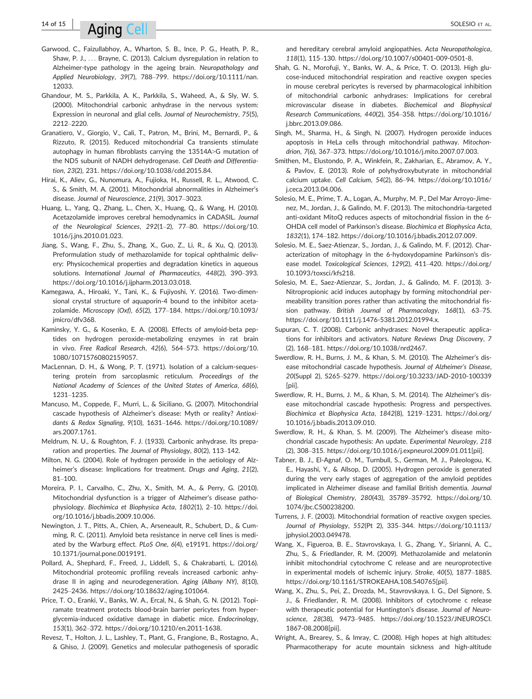# $14$  of 15  $\blacksquare$   $\blacksquare$   $\blacksquare$   $\blacksquare$   $\blacksquare$   $\blacksquare$   $\blacksquare$   $\blacksquare$   $\blacksquare$   $\blacksquare$   $\blacksquare$   $\blacksquare$   $\blacksquare$   $\blacksquare$   $\blacksquare$   $\blacksquare$   $\blacksquare$   $\blacksquare$   $\blacksquare$   $\blacksquare$   $\blacksquare$   $\blacksquare$   $\blacksquare$   $\blacksquare$   $\blacksquare$   $\blacksquare$   $\blacksquare$   $\blacksquare$   $\blacksquare$   $\blacksquare$

- Garwood, C., Faizullabhoy, A., Wharton, S. B., Ince, P. G., Heath, P. R., Shaw, P. J., ... Brayne, C. (2013). Calcium dysregulation in relation to Alzheimer-type pathology in the ageing brain. Neuropathology and Applied Neurobiology, 39(7), 788–799. [https://doi.org/10.1111/nan.](https://doi.org/10.1111/nan.12033) [12033.](https://doi.org/10.1111/nan.12033)
- Ghandour, M. S., Parkkila, A. K., Parkkila, S., Waheed, A., & Sly, W. S. (2000). Mitochondrial carbonic anhydrase in the nervous system: Expression in neuronal and glial cells. Journal of Neurochemistry, 75(5), 2212–2220.
- Granatiero, V., Giorgio, V., Cali, T., Patron, M., Brini, M., Bernardi, P., & Rizzuto, R. (2015). Reduced mitochondrial Ca transients stimulate autophagy in human fibroblasts carrying the 13514A>G mutation of the ND5 subunit of NADH dehydrogenase. Cell Death and Differentiation, 23(2), 231.<https://doi.org/10.1038/cdd.2015.84>.
- Hirai, K., Aliev, G., Nunomura, A., Fujioka, H., Russell, R. L., Atwood, C. S., & Smith, M. A. (2001). Mitochondrial abnormalities in Alzheimer's disease. Journal of Neuroscience, 21(9), 3017–3023.
- Huang, L., Yang, Q., Zhang, L., Chen, X., Huang, Q., & Wang, H. (2010). Acetazolamide improves cerebral hemodynamics in CADASIL. Journal of the Neurological Sciences, 292(1–2), 77–80. [https://doi.org/10.](https://doi.org/10.1016/j.jns.2010.01.023) [1016/j.jns.2010.01.023.](https://doi.org/10.1016/j.jns.2010.01.023)
- Jiang, S., Wang, F., Zhu, S., Zhang, X., Guo, Z., Li, R., & Xu, Q. (2013). Preformulation study of methazolamide for topical ophthalmic delivery: Physicochemical properties and degradation kinetics in aqueous solutions. International Journal of Pharmaceutics, 448(2), 390–393. <https://doi.org/10.1016/j.ijpharm.2013.03.018>.
- Kamegawa, A., Hiroaki, Y., Tani, K., & Fujiyoshi, Y. (2016). Two-dimensional crystal structure of aquaporin-4 bound to the inhibitor acetazolamide. Microscopy (Oxf), 65(2), 177–184. [https://doi.org/10.1093/](https://doi.org/10.1093/jmicro/dfv368) imicro/dfv368
- Kaminsky, Y. G., & Kosenko, E. A. (2008). Effects of amyloid-beta peptides on hydrogen peroxide-metabolizing enzymes in rat brain in vivo. Free Radical Research, 42(6), 564–573. [https://doi.org/10.](https://doi.org/10.1080/10715760802159057) [1080/10715760802159057](https://doi.org/10.1080/10715760802159057).
- MacLennan, D. H., & Wong, P. T. (1971). Isolation of a calcium-sequestering protein from sarcoplasmic reticulum. Proceedings of the National Academy of Sciences of the United States of America, 68(6), 1231–1235.
- Mancuso, M., Coppede, F., Murri, L., & Siciliano, G. (2007). Mitochondrial cascade hypothesis of Alzheimer's disease: Myth or reality? Antioxidants & Redox Signaling, 9(10), 1631–1646. [https://doi.org/10.1089/](https://doi.org/10.1089/ars.2007.1761) [ars.2007.1761](https://doi.org/10.1089/ars.2007.1761).
- Meldrum, N. U., & Roughton, F. J. (1933). Carbonic anhydrase. Its preparation and properties. The Journal of Physiology, 80(2), 113–142.
- Milton, N. G. (2004). Role of hydrogen peroxide in the aetiology of Alzheimer's disease: Implications for treatment. Drugs and Aging, 21(2), 81–100.
- Moreira, P. I., Carvalho, C., Zhu, X., Smith, M. A., & Perry, G. (2010). Mitochondrial dysfunction is a trigger of Alzheimer's disease pathophysiology. Biochimica et Biophysica Acta, 1802(1), 2–10. [https://doi.](https://doi.org/10.1016/j.bbadis.2009.10.006) [org/10.1016/j.bbadis.2009.10.006](https://doi.org/10.1016/j.bbadis.2009.10.006).
- Newington, J. T., Pitts, A., Chien, A., Arseneault, R., Schubert, D., & Cumming, R. C. (2011). Amyloid beta resistance in nerve cell lines is mediated by the Warburg effect. PLoS One, 6(4), e19191. [https://doi.org/](https://doi.org/10.1371/journal.pone.0019191) [10.1371/journal.pone.0019191.](https://doi.org/10.1371/journal.pone.0019191)
- Pollard, A., Shephard, F., Freed, J., Liddell, S., & Chakrabarti, L. (2016). Mitochondrial proteomic profiling reveals increased carbonic anhydrase II in aging and neurodegeneration. Aging (Albany NY), 8(10), 2425–2436.<https://doi.org/10.18632/aging.101064>.
- Price, T. O., Eranki, V., Banks, W. A., Ercal, N., & Shah, G. N. (2012). Topiramate treatment protects blood-brain barrier pericytes from hyperglycemia-induced oxidative damage in diabetic mice. Endocrinology, 153(1), 362–372. [https://doi.org/10.1210/en.2011-1638.](https://doi.org/10.1210/en.2011-1638)
- Revesz, T., Holton, J. L., Lashley, T., Plant, G., Frangione, B., Rostagno, A., & Ghiso, J. (2009). Genetics and molecular pathogenesis of sporadic

and hereditary cerebral amyloid angiopathies. Acta Neuropathologica, 118(1), 115–130.<https://doi.org/10.1007/s00401-009-0501-8>.

- Shah, G. N., Morofuji, Y., Banks, W. A., & Price, T. O. (2013). High glucose-induced mitochondrial respiration and reactive oxygen species in mouse cerebral pericytes is reversed by pharmacological inhibition of mitochondrial carbonic anhydrases: Implications for cerebral microvascular disease in diabetes. Biochemical and Biophysical Research Communications, 440(2), 354–358. [https://doi.org/10.1016/](https://doi.org/10.1016/j.bbrc.2013.09.086) [j.bbrc.2013.09.086.](https://doi.org/10.1016/j.bbrc.2013.09.086)
- Singh, M., Sharma, H., & Singh, N. (2007). Hydrogen peroxide induces apoptosis in HeLa cells through mitochondrial pathway. Mitochondrion, 7(6), 367–373.<https://doi.org/10.1016/j.mito.2007.07.003>.
- Smithen, M., Elustondo, P. A., Winkfein, R., Zakharian, E., Abramov, A. Y., & Pavlov, E. (2013). Role of polyhydroxybutyrate in mitochondrial calcium uptake. Cell Calcium, 54(2), 86–94. [https://doi.org/10.1016/](https://doi.org/10.1016/j.ceca.2013.04.006) [j.ceca.2013.04.006](https://doi.org/10.1016/j.ceca.2013.04.006).
- Solesio, M. E., Prime, T. A., Logan, A., Murphy, M. P., Del Mar Arroyo-Jimenez, M., Jordan, J., & Galindo, M. F. (2013). The mitochondria-targeted anti-oxidant MitoQ reduces aspects of mitochondrial fission in the 6- OHDA cell model of Parkinson's disease. Biochimica et Biophysica Acta, 1832(1), 174–182.<https://doi.org/10.1016/j.bbadis.2012.07.009>.
- Solesio, M. E., Saez-Atienzar, S., Jordan, J., & Galindo, M. F. (2012). Characterization of mitophagy in the 6-hydoxydopamine Parkinson's disease model. Toxicological Sciences, 129(2), 411–420. [https://doi.org/](https://doi.org/10.1093/toxsci/kfs218) [10.1093/toxsci/kfs218.](https://doi.org/10.1093/toxsci/kfs218)
- Solesio, M. E., Saez-Atienzar, S., Jordan, J., & Galindo, M. F. (2013). 3- Nitropropionic acid induces autophagy by forming mitochondrial permeability transition pores rather than activating the mitochondrial fission pathway. British Journal of Pharmacology, 168(1), 63–75. <https://doi.org/10.1111/j.1476-5381.2012.01994.x>.
- Supuran, C. T. (2008). Carbonic anhydrases: Novel therapeutic applications for inhibitors and activators. Nature Reviews Drug Discovery, 7 (2), 168–181.<https://doi.org/10.1038/nrd2467>.
- Swerdlow, R. H., Burns, J. M., & Khan, S. M. (2010). The Alzheimer's disease mitochondrial cascade hypothesis. Journal of Alzheimer's Disease, 20(Suppl 2), S265–S279. [https://doi.org/10.3233/JAD-2010-100339](https://doi.org/10.3233/JAD-2010-100339%5bpii%5d) [pii]
- Swerdlow, R. H., Burns, J. M., & Khan, S. M. (2014). The Alzheimer's disease mitochondrial cascade hypothesis: Progress and perspectives. Biochimica et Biophysica Acta, 1842(8), 1219–1231. [https://doi.org/](https://doi.org/10.1016/j.bbadis.2013.09.010) [10.1016/j.bbadis.2013.09.010](https://doi.org/10.1016/j.bbadis.2013.09.010).
- Swerdlow, R. H., & Khan, S. M. (2009). The Alzheimer's disease mitochondrial cascade hypothesis: An update. Experimental Neurology, 218 (2), 308–315. [https://doi.org/10.1016/j.expneurol.2009.01.011\[pii\]](https://doi.org/10.1016/j.expneurol.2009.01.011%5bpii%5d).
- Tabner, B. J., El-Agnaf, O. M., Turnbull, S., German, M. J., Paleologou, K. E., Hayashi, Y., & Allsop, D. (2005). Hydrogen peroxide is generated during the very early stages of aggregation of the amyloid peptides implicated in Alzheimer disease and familial British dementia. Journal of Biological Chemistry, 280(43), 35789–35792. [https://doi.org/10.](https://doi.org/10.1074/jbc.C500238200) [1074/jbc.C500238200](https://doi.org/10.1074/jbc.C500238200).
- Turrens, J. F. (2003). Mitochondrial formation of reactive oxygen species. Journal of Physiology, 552(Pt 2), 335–344. [https://doi.org/10.1113/](https://doi.org/10.1113/jphysiol.2003.049478) [jphysiol.2003.049478](https://doi.org/10.1113/jphysiol.2003.049478).
- Wang, X., Figueroa, B. E., Stavrovskaya, I. G., Zhang, Y., Sirianni, A. C., Zhu, S., & Friedlander, R. M. (2009). Methazolamide and melatonin inhibit mitochondrial cytochrome C release and are neuroprotective in experimental models of ischemic injury. Stroke, 40(5), 1877–1885. [https://doi.org/10.1161/STROKEAHA.108.540765\[pii\]](https://doi.org/10.1161/STROKEAHA.108.540765%5bpii%5d).
- Wang, X., Zhu, S., Pei, Z., Drozda, M., Stavrovskaya, I. G., Del Signore, S. J., & Friedlander, R. M. (2008). Inhibitors of cytochrome c release with therapeutic potential for Huntington's disease. Journal of Neuroscience, 28(38), 9473–9485. [https://doi.org/10.1523/JNEUROSCI.](https://doi.org/10.1523/JNEUROSCI.1867-08.2008%5bpii%5d) [1867-08.2008\[pii\].](https://doi.org/10.1523/JNEUROSCI.1867-08.2008%5bpii%5d)
- Wright, A., Brearey, S., & Imray, C. (2008). High hopes at high altitudes: Pharmacotherapy for acute mountain sickness and high-altitude